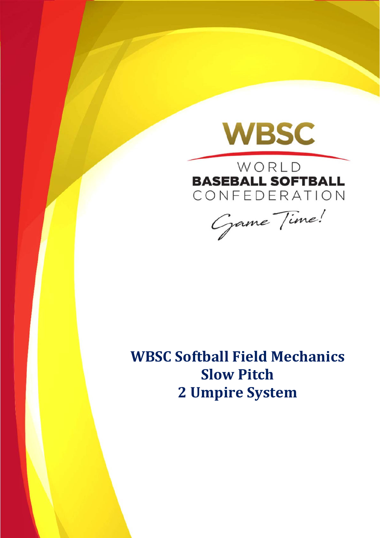

WORLD **BASEBALL SOFTBALL** CONFEDERATION

Game Time!

**WBSC Softball Field Mechanics Slow Pitch 2 Umpire System**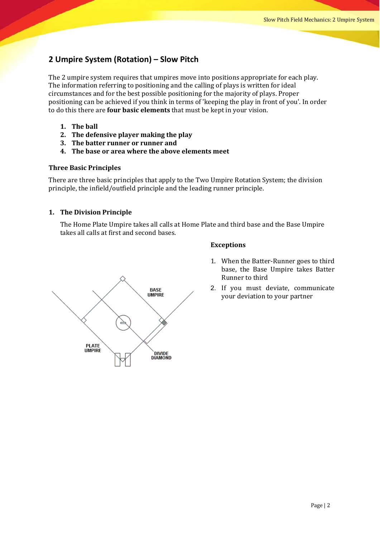# **2 Umpire System (Rotation) – Slow Pitch**

The 2 umpire system requires that umpires move into positions appropriate for each play. The information referring to positioning and the calling of plays is written for ideal circumstances and for the best possible positioning for the majority of plays. Proper positioning can be achieved if you think in terms of 'keeping the play in front of you'. In order to do this there are **four basic elements** that must be kept in your vision.

- **1. The ball**
- **2. The defensive player making the play**
- **3. The batter runner or runner and**
- **4. The base or area where the above elements meet**

#### **Three Basic Principles**

There are three basic principles that apply to the Two Umpire Rotation System; the division principle, the infield/outfield principle and the leading runner principle.

#### **1. The Division Principle**

The Home Plate Umpire takes all calls at Home Plate and third base and the Base Umpire takes all calls at first and second bases.



#### **Exceptions**

- 1. When the Batter-Runner goes to third base, the Base Umpire takes Batter Runner to third
- 2. If you must deviate, communicate your deviation to your partner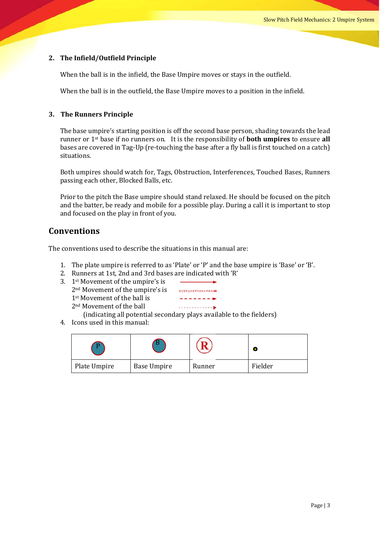#### **2. The Infield/Outfield Principle**

When the ball is in the infield, the Base Umpire moves or stays in the outfield.

When the ball is in the outfield, the Base Umpire moves to a position in the infield.

#### **3. The Runners Principle**

The base umpire's starting position is off the second base person, shading towards the lead runner or 1<sup>st</sup> base if no runners on. It is the responsibility of **both umpires** to ensure all bases are covered in Tag-Up (re-touching the base after a fly ball is first touched on a catch) situations. 

Both umpires should watch for, Tags, Obstruction, Interferences, Touched Bases, Runners passing each other, Blocked Balls, etc.

Prior to the pitch the Base umpire should stand relaxed. He should be focused on the pitch and the batter, be ready and mobile for a possible play. During a call it is important to stop and focused on the play in front of you.

#### **Conventions**

The conventions used to describe the situations in this manual are:

- 1. The plate umpire is referred to as 'Plate' or 'P' and the base umpire is 'Base' or 'B'.
- 2. Runners at 1st, 2nd and 3rd bases are indicated with 'R'
- 3. 1st Movement of the umpire's is 2<sup>nd</sup> Movement of the umpire's is  $1<sup>st</sup>$  Movement of the ball is 2<sup>nd</sup> Movement of the ball



(indicating all potential secondary plays available to the fielders)

4. Icons used in this manual:

|              | . .                |        |         |
|--------------|--------------------|--------|---------|
| Plate Umpire | <b>Base Umpire</b> | Runner | Fielder |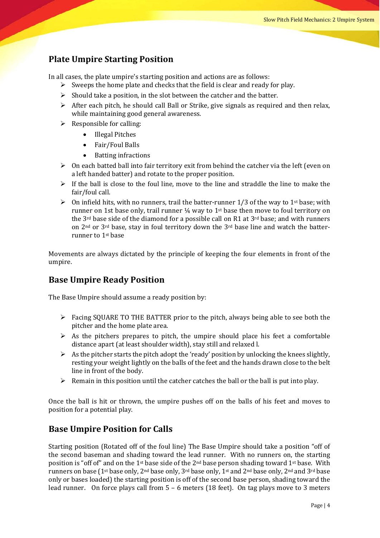# **Plate Umpire Starting Position**

In all cases, the plate umpire's starting position and actions are as follows:

- $\triangleright$  Sweeps the home plate and checks that the field is clear and ready for play.
- $\triangleright$  Should take a position, in the slot between the catcher and the batter.
- $\triangleright$  After each pitch, he should call Ball or Strike, give signals as required and then relax, while maintaining good general awareness.
- $\triangleright$  Responsible for calling:
	- Illegal Pitches
	- Fair/Foul Balls
	- Batting infractions
- $\triangleright$  On each batted ball into fair territory exit from behind the catcher via the left (even on a left handed batter) and rotate to the proper position.
- $\triangleright$  If the ball is close to the foul line, move to the line and straddle the line to make the fair/foul call.
- **►** On infield hits, with no runners, trail the batter-runner 1/3 of the way to 1<sup>st</sup> base; with runner on 1st base only, trail runner  $\frac{1}{4}$  way to 1<sup>st</sup> base then move to foul territory on the  $3^{rd}$  base side of the diamond for a possible call on R1 at  $3^{rd}$  base; and with runners on  $2<sup>nd</sup>$  or  $3<sup>rd</sup>$  base, stay in foul territory down the  $3<sup>rd</sup>$  base line and watch the batterrunner to 1<sup>st</sup> base

Movements are always dictated by the principle of keeping the four elements in front of the umpire. 

# **Base Umpire Ready Position**

The Base Umpire should assume a ready position by:

- $\triangleright$  Facing SQUARE TO THE BATTER prior to the pitch, always being able to see both the pitcher and the home plate area.
- $\triangleright$  As the pitchers prepares to pitch, the umpire should place his feet a comfortable distance apart (at least shoulder width), stay still and relaxed l.
- $\triangleright$  As the pitcher starts the pitch adopt the 'ready' position by unlocking the knees slightly, resting your weight lightly on the balls of the feet and the hands drawn close to the belt line in front of the body.
- $\triangleright$  Remain in this position until the catcher catches the ball or the ball is put into play.

Once the ball is hit or thrown, the umpire pushes off on the balls of his feet and moves to position for a potential play.

# **Base Umpire Position for Calls**

Starting position (Rotated off of the foul line) The Base Umpire should take a position "off of the second baseman and shading toward the lead runner. With no runners on, the starting position is "off of" and on the 1<sup>st</sup> base side of the 2<sup>nd</sup> base person shading toward 1<sup>st</sup> base. With runners on base (1<sup>st</sup> base only, 2<sup>nd</sup> base only, 3<sup>rd</sup> base only, 1<sup>st</sup> and 2<sup>nd</sup> base only, 2<sup>nd</sup> and 3<sup>rd</sup> base only or bases loaded) the starting position is off of the second base person, shading toward the lead runner. On force plays call from  $5 - 6$  meters (18 feet). On tag plays move to 3 meters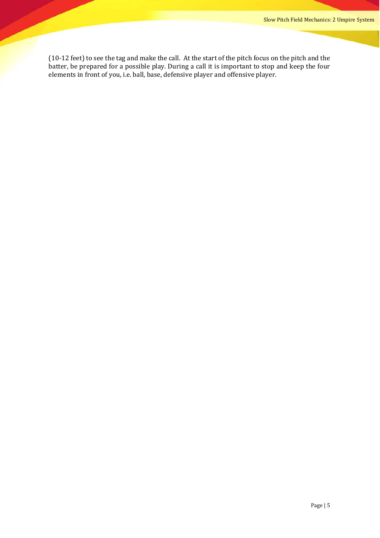(10-12 feet) to see the tag and make the call. At the start of the pitch focus on the pitch and the batter, be prepared for a possible play. During a call it is important to stop and keep the four elements in front of you, i.e. ball, base, defensive player and offensive player.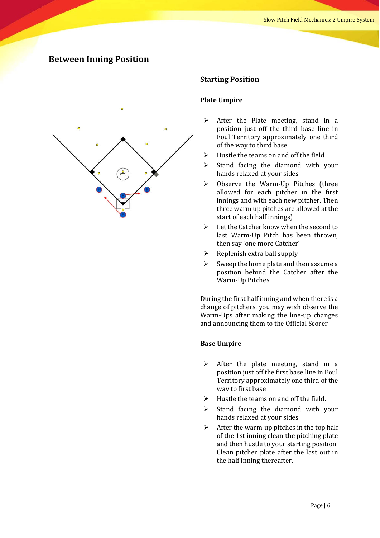# **Between Inning Position**



#### **Starting Position**

#### **Plate Umpire**

- $\triangleright$  After the Plate meeting, stand in a position just off the third base line in Foul Territory approximately one third of the way to third base
- $\triangleright$  Hustle the teams on and off the field
- $\triangleright$  Stand facing the diamond with your hands relaxed at your sides
- $\triangleright$  Observe the Warm-Up Pitches (three allowed for each pitcher in the first innings and with each new pitcher. Then three warm up pitches are allowed at the start of each half innings)
- $\triangleright$  Let the Catcher know when the second to last Warm-Up Pitch has been thrown, then say 'one more Catcher'
- $\triangleright$  Replenish extra ball supply
- $\triangleright$  Sweep the home plate and then assume a position behind the Catcher after the Warm-Up Pitches

During the first half inning and when there is a change of pitchers, you may wish observe the Warm-Ups after making the line-up changes and announcing them to the Official Scorer

- $\triangleright$  After the plate meeting, stand in a position just off the first base line in Foul Territory approximately one third of the way to first base
- $\triangleright$  Hustle the teams on and off the field.
- $\triangleright$  Stand facing the diamond with your hands relaxed at your sides.
- $\triangleright$  After the warm-up pitches in the top half of the 1st inning clean the pitching plate and then hustle to your starting position. Clean pitcher plate after the last out in the half inning thereafter.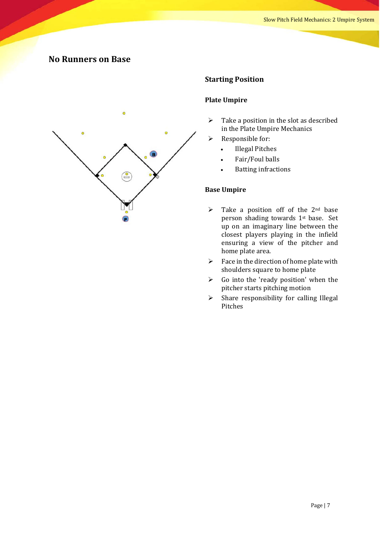# **No Runners on Base**



### **Starting Position**

#### **Plate Umpire**

- $\triangleright$  Take a position in the slot as described in the Plate Umpire Mechanics
- $\triangleright$  Responsible for:
	- Illegal Pitches
	- Fair/Foul balls
	- **Batting infractions**

- $\triangleright$  Take a position off of the 2<sup>nd</sup> base person shading towards  $1<sup>st</sup>$  base. Set up on an imaginary line between the closest players playing in the infield ensuring a view of the pitcher and home plate area.
- $\triangleright$  Face in the direction of home plate with shoulders square to home plate
- $\triangleright$  Go into the 'ready position' when the pitcher starts pitching motion
- $\triangleright$  Share responsibility for calling Illegal Pitches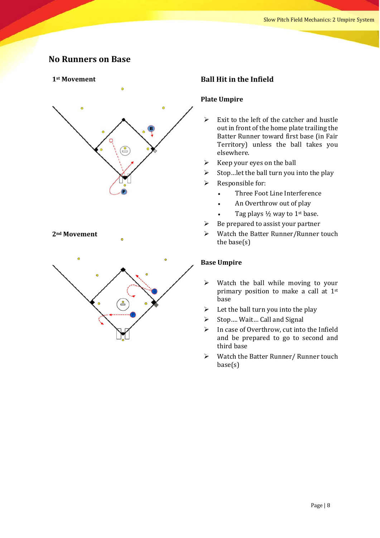# **No Runners on Base**

#### **1st Movement**



#### **2nd Movement**



### **Ball Hit in the Infield**

#### **Plate Umpire**

- $\triangleright$  Exit to the left of the catcher and hustle out in front of the home plate trailing the Batter Runner toward first base (in Fair Territory) unless the ball takes you elsewhere.
- $\triangleright$  Keep your eyes on the ball
- $\triangleright$  Stop... let the ball turn you into the play
- $\triangleright$  Responsible for:
	- Three Foot Line Interference
	- An Overthrow out of play
	- Tag plays  $\frac{1}{2}$  way to 1<sup>st</sup> base.
- $\triangleright$  Be prepared to assist your partner
- $\triangleright$  Watch the Batter Runner/Runner touch the base $(s)$

- $\triangleright$  Watch the ball while moving to your primary position to make a call at  $1<sup>st</sup>$ base
- $\triangleright$  Let the ball turn you into the play
- $\triangleright$  Stop.... Wait... Call and Signal
- $\triangleright$  In case of Overthrow, cut into the Infield and be prepared to go to second and third base
- $\triangleright$  Watch the Batter Runner/ Runner touch base(s)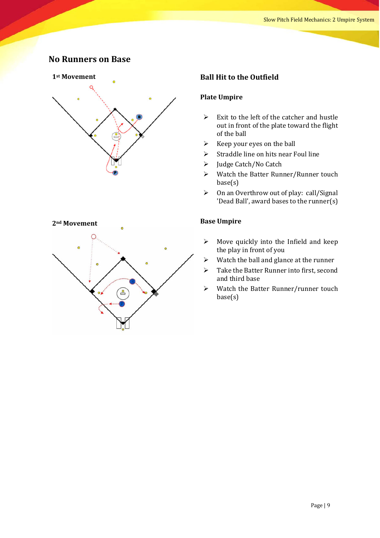# **No Runners on Base**



#### **2nd Movement**



#### **Ball Hit to the Outfield**

#### **Plate Umpire**

- $\triangleright$  Exit to the left of the catcher and hustle out in front of the plate toward the flight of the ball
- $\triangleright$  Keep your eyes on the ball
- $\triangleright$  Straddle line on hits near Foul line
- $\triangleright$  Judge Catch/No Catch
- $\triangleright$  Watch the Batter Runner/Runner touch base(s)
- $\triangleright$  On an Overthrow out of play: call/Signal 'Dead Ball', award bases to the runner(s)

- $\triangleright$  Move quickly into the Infield and keep the play in front of you
- $\triangleright$  Watch the ball and glance at the runner
- $\triangleright$  Take the Batter Runner into first, second and third base
- $\triangleright$  Watch the Batter Runner/runner touch base(s)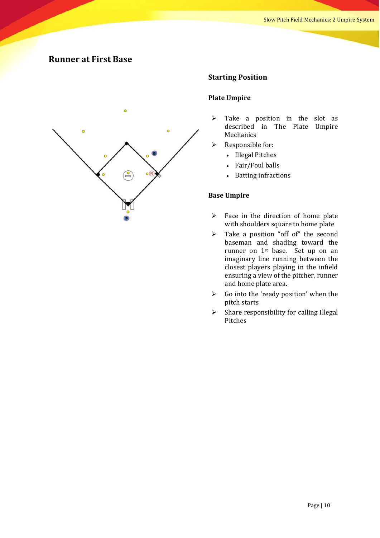# **Runner at First Base**



#### **Starting Position**

#### **Plate Umpire**

- $\triangleright$  Take a position in the slot as described in The Plate Umpire Mechanics
- $\triangleright$  Responsible for:
	- Illegal Pitches
	- Fair/Foul balls
	- **Batting infractions**

- $\triangleright$  Face in the direction of home plate with shoulders square to home plate
- $\triangleright$  Take a position "off of" the second baseman and shading toward the runner on  $1<sup>st</sup>$  base. Set up on an imaginary line running between the closest players playing in the infield ensuring a view of the pitcher, runner and home plate area.
- $\triangleright$  Go into the 'ready position' when the pitch starts
- $\triangleright$  Share responsibility for calling Illegal Pitches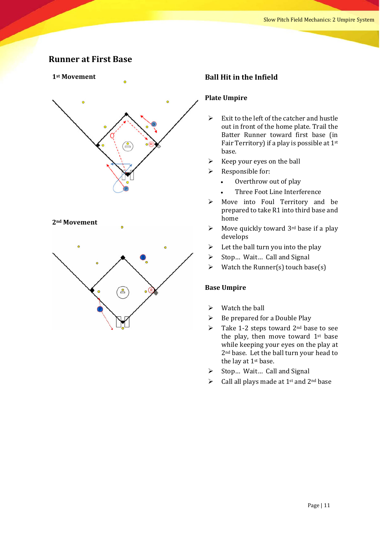# **Runner at First Base**

#### **1st Movement**



#### **2nd Movement**



#### **Ball Hit in the Infield**

#### **Plate Umpire**

- $\triangleright$  Exit to the left of the catcher and hustle out in front of the home plate. Trail the Batter Runner toward first base (in Fair Territory) if a play is possible at  $1<sup>st</sup>$ base.
- $\triangleright$  Keep your eyes on the ball
- $\triangleright$  Responsible for:
	- Overthrow out of play
	- Three Foot Line Interference
- $\triangleright$  Move into Foul Territory and be prepared to take R1 into third base and home
- $\triangleright$  Move quickly toward 3<sup>rd</sup> base if a play develops
- $\triangleright$  Let the ball turn you into the play
- $\triangleright$  Stop... Wait... Call and Signal
- $\triangleright$  Watch the Runner(s) touch base(s)

- $\triangleright$  Watch the ball
- $\triangleright$  Be prepared for a Double Play
- $\triangleright$  Take 1-2 steps toward 2<sup>nd</sup> base to see the play, then move toward  $1<sup>st</sup>$  base while keeping your eyes on the play at 2<sup>nd</sup> base. Let the ball turn your head to the lay at  $1<sup>st</sup>$  base.
- $\triangleright$  Stop... Wait... Call and Signal
- $\triangleright$  Call all plays made at 1<sup>st</sup> and 2<sup>nd</sup> base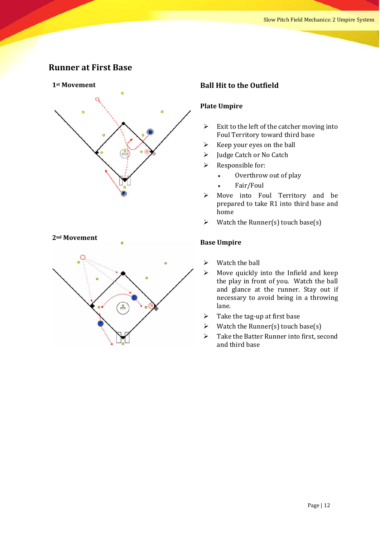# **Runner at First Base**



#### **2nd Movement**



#### **Ball Hit to the Outfield**

#### **Plate Umpire**

- $\triangleright$  Exit to the left of the catcher moving into Foul Territory toward third base
- $\triangleright$  Keep your eyes on the ball
- $\triangleright$  Judge Catch or No Catch
- $\triangleright$  Responsible for:
	- Overthrow out of play
	- Fair/Foul
- $\triangleright$  Move into Foul Territory and be prepared to take R1 into third base and home
- $\triangleright$  Watch the Runner(s) touch base(s)

- $\triangleright$  Watch the ball
- $\triangleright$  Move quickly into the Infield and keep the play in front of you. Watch the ball and glance at the runner. Stay out if necessary to avoid being in a throwing lane.
- $\triangleright$  Take the tag-up at first base
- $\triangleright$  Watch the Runner(s) touch base(s)
- $\triangleright$  Take the Batter Runner into first, second and third base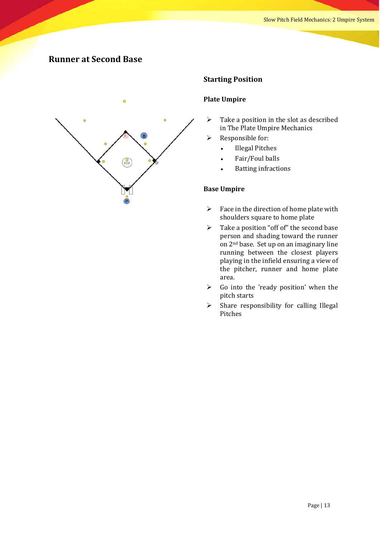# **Runner at Second Base**



#### **Starting Position**

#### **Plate Umpire**

- $\triangleright$  Take a position in the slot as described in The Plate Umpire Mechanics
- $\triangleright$  Responsible for:
	- Illegal Pitches
	- Fair/Foul balls
	- **Batting infractions**

- $\triangleright$  Face in the direction of home plate with shoulders square to home plate
- $\triangleright$  Take a position "off of" the second base person and shading toward the runner on 2<sup>nd</sup> base. Set up on an imaginary line running between the closest players playing in the infield ensuring a view of the pitcher, runner and home plate area.
- $\triangleright$  Go into the 'ready position' when the pitch starts
- $\triangleright$  Share responsibility for calling Illegal Pitches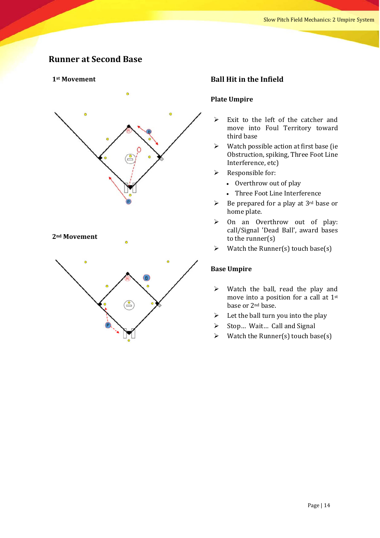# **Runner at Second Base**

#### **1st Movement**



#### **2nd Movement**



#### **Ball Hit in the Infield**

#### **Plate Umpire**

- $\triangleright$  Exit to the left of the catcher and move into Foul Territory toward third base
- $\triangleright$  Watch possible action at first base (ie Obstruction, spiking, Three Foot Line Interference, etc)
- $\triangleright$  Responsible for:
	- Overthrow out of play
	- Three Foot Line Interference
- $\triangleright$  Be prepared for a play at 3<sup>rd</sup> base or home plate.
- $\triangleright$  On an Overthrow out of play: call/Signal 'Dead Ball', award bases to the runner $(s)$
- $\triangleright$  Watch the Runner(s) touch base(s)

- $\triangleright$  Watch the ball, read the play and move into a position for a call at  $1^{st}$ base or 2<sup>nd</sup> base.
- $\triangleright$  Let the ball turn you into the play
- $\triangleright$  Stop... Wait... Call and Signal
- $\triangleright$  Watch the Runner(s) touch base(s)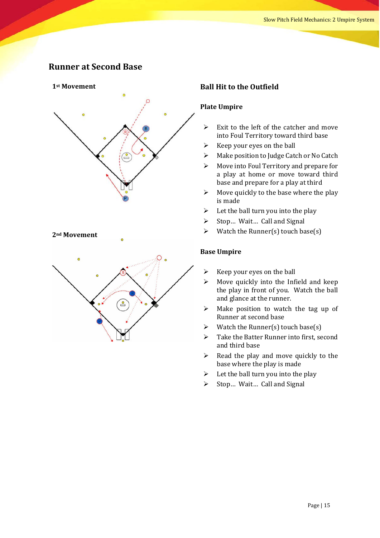# **Runner at Second Base**



#### **2nd Movement**



#### **Ball Hit to the Outfield**

#### **Plate Umpire**

- $\triangleright$  Exit to the left of the catcher and move into Foul Territory toward third base
- $\triangleright$  Keep your eyes on the ball
- $\triangleright$  Make position to Judge Catch or No Catch
- $\triangleright$  Move into Foul Territory and prepare for a play at home or move toward third base and prepare for a play at third
- $\triangleright$  Move quickly to the base where the play is made
- $\triangleright$  Let the ball turn you into the play
- $\triangleright$  Stop... Wait... Call and Signal
- $\triangleright$  Watch the Runner(s) touch base(s)

- $\triangleright$  Keep your eyes on the ball
- $\triangleright$  Move quickly into the Infield and keep the play in front of you. Watch the ball and glance at the runner.
- $\triangleright$  Make position to watch the tag up of Runner at second base
- $\triangleright$  Watch the Runner(s) touch base(s)
- $\triangleright$  Take the Batter Runner into first, second and third base
- $\triangleright$  Read the play and move quickly to the base where the play is made
- $\triangleright$  Let the ball turn you into the play
- $\triangleright$  Stop... Wait... Call and Signal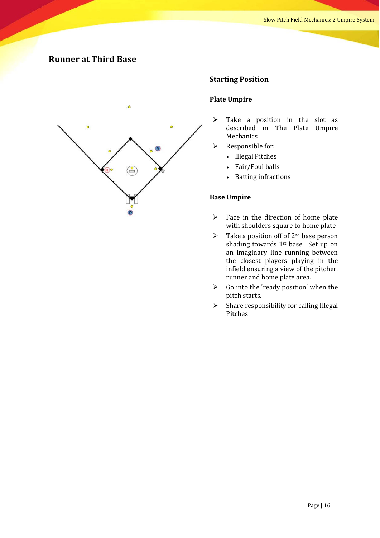# **Runner at Third Base**



#### **Starting Position**

#### **Plate Umpire**

- $\triangleright$  Take a position in the slot as described in The Plate Umpire Mechanics
- $\triangleright$  Responsible for:
	- Illegal Pitches
	- Fair/Foul balls
	- **Batting infractions**

- $\triangleright$  Face in the direction of home plate with shoulders square to home plate
- $\triangleright$  Take a position off of 2<sup>nd</sup> base person shading towards  $1<sup>st</sup>$  base. Set up on an imaginary line running between the closest players playing in the infield ensuring a view of the pitcher, runner and home plate area.
- $\triangleright$  Go into the 'ready position' when the pitch starts.
- $\triangleright$  Share responsibility for calling Illegal Pitches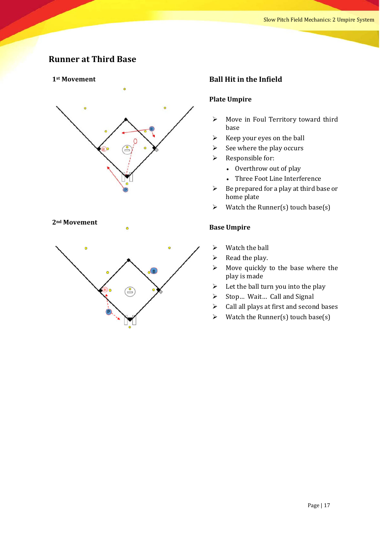# **Runner at Third Base**

#### 1<sup>st</sup> Movement



#### 2<sup>nd</sup> Movement

# $\mathbf{e}$

#### **Ball Hit in the Infield**

#### **Plate Umpire**

- $\triangleright$  Move in Foul Territory toward third base
- $\triangleright$  Keep your eyes on the ball
- $\triangleright$  See where the play occurs
- $\triangleright$  Responsible for:
	- Overthrow out of play
	- Three Foot Line Interference
- $\triangleright$  Be prepared for a play at third base or home plate
- $\triangleright$  Watch the Runner(s) touch base(s)

- $\triangleright$  Watch the ball
- $\triangleright$  Read the play.
- $\triangleright$  Move quickly to the base where the play is made
- $\triangleright$  Let the ball turn you into the play
- $\triangleright$  Stop... Wait... Call and Signal
- $\triangleright$  Call all plays at first and second bases
- $\triangleright$  Watch the Runner(s) touch base(s)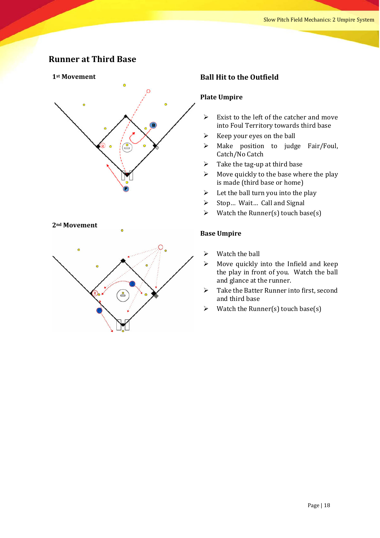# **Runner at Third Base**

#### **1st Movement**



#### **2nd Movement**



#### **Ball Hit to the Outfield**

#### **Plate Umpire**

- $\triangleright$  Exist to the left of the catcher and move into Foul Territory towards third base
- $\triangleright$  Keep your eyes on the ball
- $\triangleright$  Make position to judge Fair/Foul, Catch/No Catch
- $\triangleright$  Take the tag-up at third base
- $\triangleright$  Move quickly to the base where the play is made (third base or home)
- $\triangleright$  Let the ball turn you into the play
- $\triangleright$  Stop... Wait... Call and Signal
- $\triangleright$  Watch the Runner(s) touch base(s)

- $\triangleright$  Watch the ball
- $\triangleright$  Move quickly into the Infield and keep the play in front of you. Watch the ball and glance at the runner.
- $\triangleright$  Take the Batter Runner into first, second and third base
- $\triangleright$  Watch the Runner(s) touch base(s)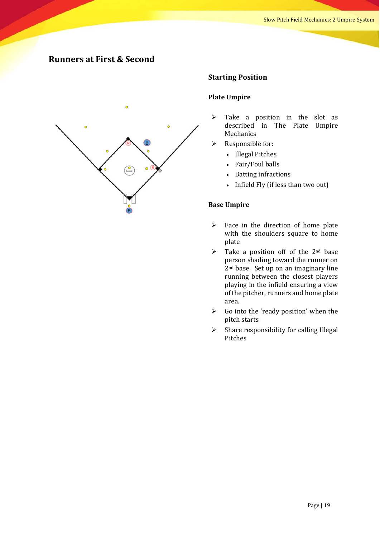# **Runners at First & Second**



#### **Starting Position**

#### **Plate Umpire**

- $\triangleright$  Take a position in the slot as described in The Plate Umpire Mechanics
- $\triangleright$  Responsible for:
	- Illegal Pitches
	- Fair/Foul balls
	- Batting infractions
	- Infield Fly (if less than two out)

- $\triangleright$  Face in the direction of home plate with the shoulders square to home plate
- $\triangleright$  Take a position off of the 2<sup>nd</sup> base person shading toward the runner on  $2<sup>nd</sup>$  base. Set up on an imaginary line running between the closest players playing in the infield ensuring a view of the pitcher, runners and home plate area.
- $\triangleright$  Go into the 'ready position' when the pitch starts
- $\triangleright$  Share responsibility for calling Illegal Pitches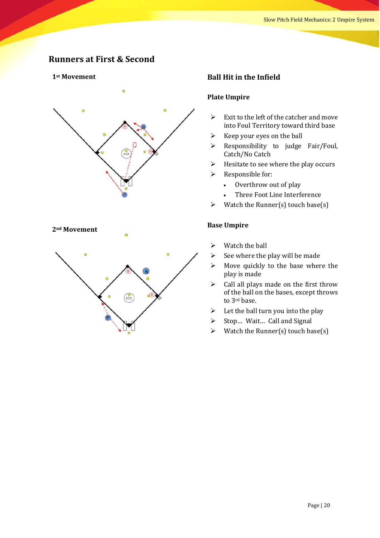# **Runners at First & Second**

#### **1st Movement**



#### **2nd Movement**



#### **Ball Hit in the Infield**

#### **Plate Umpire**

- $\triangleright$  Exit to the left of the catcher and move into Foul Territory toward third base
- $\triangleright$  Keep your eyes on the ball
- $\triangleright$  Responsibility to judge Fair/Foul, Catch/No Catch
- $\triangleright$  Hesitate to see where the play occurs
- $\triangleright$  Responsible for:
	- Overthrow out of play
	- Three Foot Line Interference
- $\triangleright$  Watch the Runner(s) touch base(s)

- $\triangleright$  Watch the ball
- $\triangleright$  See where the play will be made
- $\triangleright$  Move quickly to the base where the play is made
- $\triangleright$  Call all plays made on the first throw of the ball on the bases, except throws to 3<sup>rd</sup> base.
- $\triangleright$  Let the ball turn you into the play
- $\triangleright$  Stop... Wait... Call and Signal
- $\triangleright$  Watch the Runner(s) touch base(s)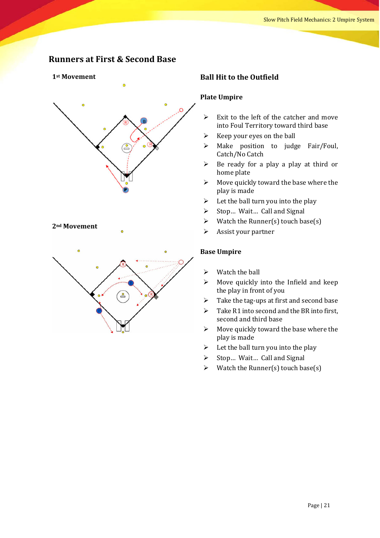# **Runners at First & Second Base**

#### **1st Movement**



#### **2nd Movement**



#### **Ball Hit to the Outfield**

#### **Plate Umpire**

- $\triangleright$  Exit to the left of the catcher and move into Foul Territory toward third base
- $\triangleright$  Keep your eyes on the ball
- $\triangleright$  Make position to judge Fair/Foul, Catch/No Catch
- $\triangleright$  Be ready for a play a play at third or home plate
- $\triangleright$  Move quickly toward the base where the play is made
- $\triangleright$  Let the ball turn you into the play
- $\triangleright$  Stop... Wait... Call and Signal
- $\triangleright$  Watch the Runner(s) touch base(s)
- $\triangleright$  Assist your partner

- $\triangleright$  Watch the ball
- $\triangleright$  Move quickly into the Infield and keep the play in front of you
- $\triangleright$  Take the tag-ups at first and second base
- $\triangleright$  Take R1 into second and the BR into first, second and third base
- $\triangleright$  Move quickly toward the base where the play is made
- $\triangleright$  Let the ball turn you into the play
- $\triangleright$  Stop... Wait... Call and Signal
- $\triangleright$  Watch the Runner(s) touch base(s)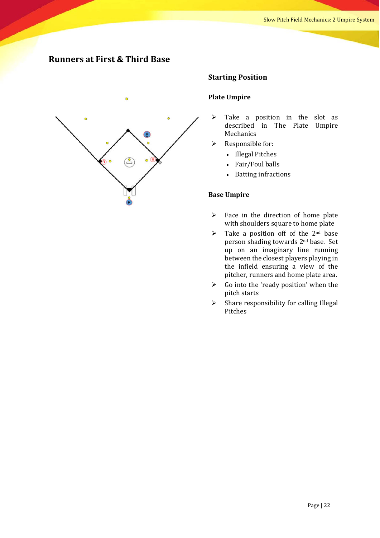# **Runners at First & Third Base**



#### **Starting Position**

#### **Plate Umpire**

- $\triangleright$  Take a position in the slot as described in The Plate Umpire Mechanics
- $\triangleright$  Responsible for:
	- Illegal Pitches
	- Fair/Foul balls
	- Batting infractions

- $\triangleright$  Face in the direction of home plate with shoulders square to home plate
- $\triangleright$  Take a position off of the 2<sup>nd</sup> base person shading towards 2<sup>nd</sup> base. Set up on an imaginary line running between the closest players playing in the infield ensuring a view of the pitcher, runners and home plate area.
- $\triangleright$  Go into the 'ready position' when the pitch starts
- $\triangleright$  Share responsibility for calling Illegal Pitches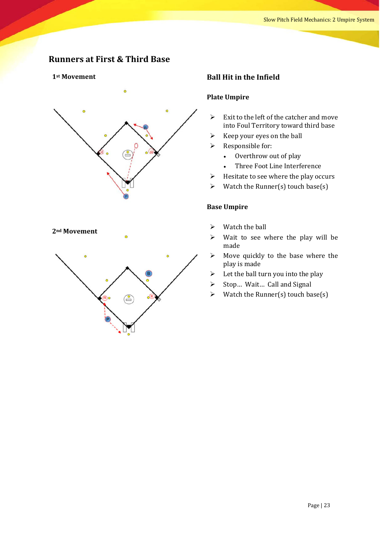# **Runners at First & Third Base**

#### **1st Movement**



#### **2nd Movement**

#### **Ball Hit in the Infield**

#### **Plate Umpire**

- $\triangleright$  Exit to the left of the catcher and move into Foul Territory toward third base
- $\triangleright$  Keep your eyes on the ball
- $\triangleright$  Responsible for:
	- Overthrow out of play
	- Three Foot Line Interference
- $\triangleright$  Hesitate to see where the play occurs
- $\triangleright$  Watch the Runner(s) touch base(s)

- $\triangleright$  Watch the ball
- $\triangleright$  Wait to see where the play will be made
- $\triangleright$  Move quickly to the base where the play is made
- $\triangleright$  Let the ball turn you into the play
- $\triangleright$  Stop... Wait... Call and Signal
- $\triangleright$  Watch the Runner(s) touch base(s)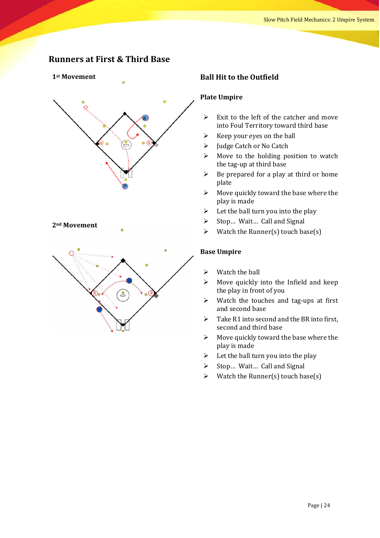# **Runners at First & Third Base**

#### **1st Movement**



#### **2nd Movement**



#### **Ball Hit to the Outfield**

#### **Plate Umpire**

- $\triangleright$  Exit to the left of the catcher and move into Foul Territory toward third base
- $\triangleright$  Keep your eyes on the ball
- $\triangleright$  Judge Catch or No Catch
- $\triangleright$  Move to the holding position to watch the tag-up at third base
- $\triangleright$  Be prepared for a play at third or home plate
- $\triangleright$  Move quickly toward the base where the play is made
- $\triangleright$  Let the ball turn you into the play
- $\triangleright$  Stop... Wait... Call and Signal
- $\triangleright$  Watch the Runner(s) touch base(s)

- $\triangleright$  Watch the ball
- $\triangleright$  Move quickly into the Infield and keep the play in front of you
- $\triangleright$  Watch the touches and tag-ups at first and second base
- $\triangleright$  Take R1 into second and the BR into first. second and third base
- $\triangleright$  Move quickly toward the base where the play is made
- $\triangleright$  Let the ball turn you into the play
- $\triangleright$  Stop... Wait... Call and Signal
- $\triangleright$  Watch the Runner(s) touch base(s)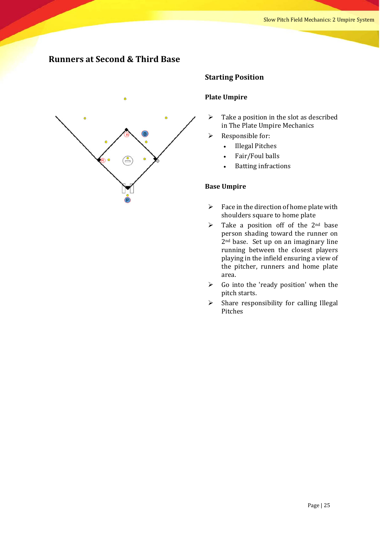# **Runners at Second & Third Base**



#### **Starting Position**

#### **Plate Umpire**

- $\triangleright$  Take a position in the slot as described in The Plate Umpire Mechanics
- $\triangleright$  Responsible for:
	- Illegal Pitches
	- Fair/Foul balls
	- **Batting infractions**

- $\triangleright$  Face in the direction of home plate with shoulders square to home plate
- $\triangleright$  Take a position off of the 2<sup>nd</sup> base person shading toward the runner on  $2<sup>nd</sup>$  base. Set up on an imaginary line running between the closest players playing in the infield ensuring a view of the pitcher, runners and home plate area.
- $\triangleright$  Go into the 'ready position' when the pitch starts.
- $\triangleright$  Share responsibility for calling Illegal Pitches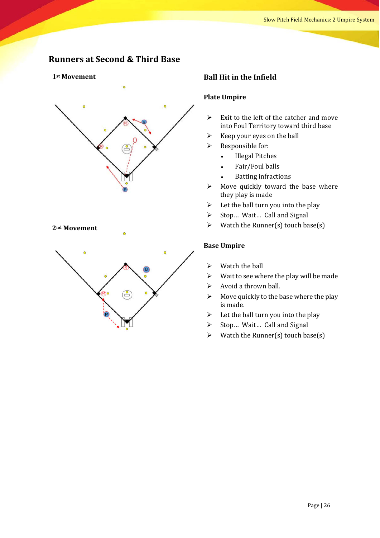# **Runners at Second & Third Base**

#### 1<sup>st</sup> Movement



#### **2nd Movement**



#### **Ball Hit in the Infield**

#### **Plate Umpire**

- $\triangleright$  Exit to the left of the catcher and move into Foul Territory toward third base
- $\triangleright$  Keep your eyes on the ball
- $\triangleright$  Responsible for:
	- Illegal Pitches
	- Fair/Foul balls
	- **Batting infractions**
- $\triangleright$  Move quickly toward the base where they play is made
- $\triangleright$  Let the ball turn you into the play
- $\triangleright$  Stop... Wait... Call and Signal
- $\triangleright$  Watch the Runner(s) touch base(s)

- $\triangleright$  Watch the ball
- $\triangleright$  Wait to see where the play will be made
- $\triangleright$  Avoid a thrown ball.
- $\triangleright$  Move quickly to the base where the play is made.
- $\triangleright$  Let the ball turn you into the play
- $\triangleright$  Stop... Wait... Call and Signal
- $\triangleright$  Watch the Runner(s) touch base(s)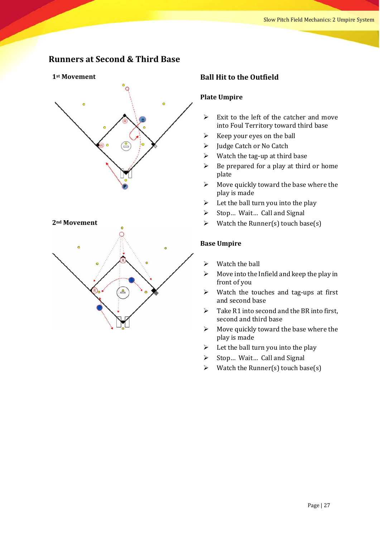# **Runners at Second & Third Base**

#### 1<sup>st</sup> Movement



#### **2nd Movement**



#### **Ball Hit to the Outfield**

#### **Plate Umpire**

- $\triangleright$  Exit to the left of the catcher and move into Foul Territory toward third base
- $\triangleright$  Keep your eyes on the ball
- $\triangleright$  Judge Catch or No Catch
- $\triangleright$  Watch the tag-up at third base
- $\triangleright$  Be prepared for a play at third or home plate
- $\triangleright$  Move quickly toward the base where the play is made
- $\triangleright$  Let the ball turn you into the play
- $\triangleright$  Stop... Wait... Call and Signal
- $\triangleright$  Watch the Runner(s) touch base(s)

- $\triangleright$  Watch the ball
- $\triangleright$  Move into the Infield and keep the play in front of you
- $\triangleright$  Watch the touches and tag-ups at first and second base
- $\triangleright$  Take R1 into second and the BR into first, second and third base
- $\triangleright$  Move quickly toward the base where the play is made
- $\triangleright$  Let the ball turn you into the play
- $\triangleright$  Stop... Wait... Call and Signal
- $\triangleright$  Watch the Runner(s) touch base(s)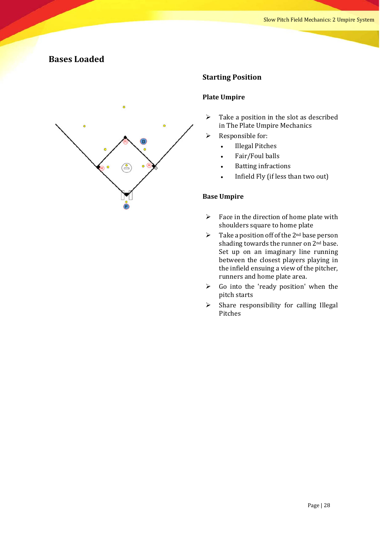# **Bases Loaded**



#### **Starting Position**

#### **Plate Umpire**

- $\triangleright$  Take a position in the slot as described in The Plate Umpire Mechanics
- $\triangleright$  Responsible for:
	- Illegal Pitches
	- Fair/Foul balls
	- **Batting infractions**
	- Infield Fly (if less than two out)

- $\triangleright$  Face in the direction of home plate with shoulders square to home plate
- $\triangleright$  Take a position off of the 2<sup>nd</sup> base person shading towards the runner on  $2<sup>nd</sup>$  base. Set up on an imaginary line running between the closest players playing in the infield ensuing a view of the pitcher, runners and home plate area.
- $\triangleright$  Go into the 'ready position' when the pitch starts
- $\triangleright$  Share responsibility for calling Illegal Pitches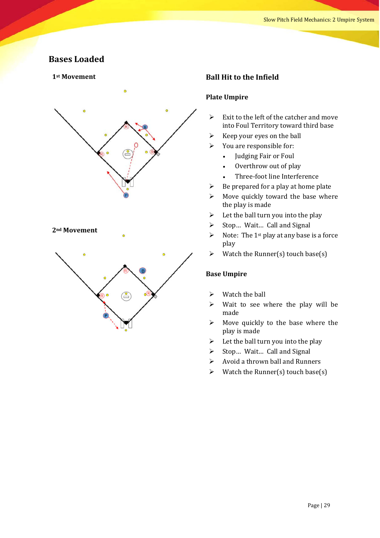# **Bases Loaded**

#### **1st Movement**



#### **2nd Movement**



#### **Ball Hit to the Infield**

#### **Plate Umpire**

- $\triangleright$  Exit to the left of the catcher and move into Foul Territory toward third base
- $\triangleright$  Keep your eyes on the ball
- $\triangleright$  You are responsible for:
	- Judging Fair or Foul
	- Overthrow out of play
	- Three-foot line Interference
- $\triangleright$  Be prepared for a play at home plate
- $\triangleright$  Move quickly toward the base where the play is made
- $\triangleright$  Let the ball turn you into the play
- $\triangleright$  Stop... Wait... Call and Signal
- $\triangleright$  Note: The 1<sup>st</sup> play at any base is a force play
- $\triangleright$  Watch the Runner(s) touch base(s)

- $\triangleright$  Watch the ball
- $\triangleright$  Wait to see where the play will be made
- $\triangleright$  Move quickly to the base where the play is made
- $\triangleright$  Let the ball turn you into the play
- $\triangleright$  Stop... Wait... Call and Signal
- $\triangleright$  Avoid a thrown ball and Runners
- $\triangleright$  Watch the Runner(s) touch base(s)